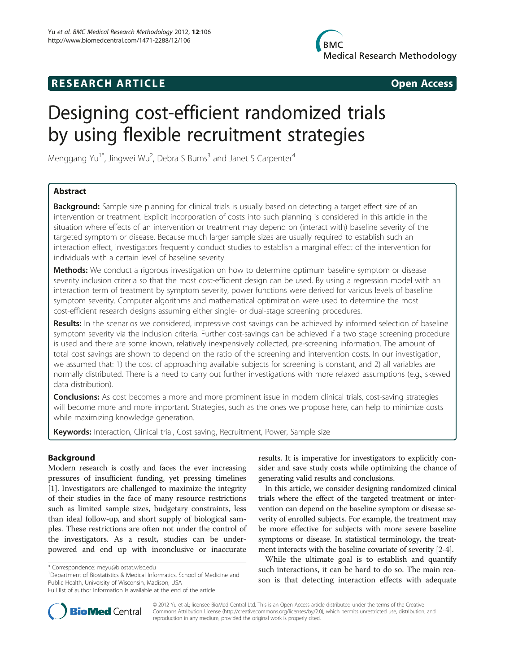# **RESEARCH ARTICLE Example 2014 CONSIDERING CONSIDERING CONSIDERING CONSIDERING CONSIDERING CONSIDERING CONSIDERING CONSIDERING CONSIDERING CONSIDERING CONSIDERING CONSIDERING CONSIDERING CONSIDERING CONSIDERING CONSIDE**

# Designing cost-efficient randomized trials by using flexible recruitment strategies

Menggang Yu<sup>1\*</sup>, Jingwei Wu<sup>2</sup>, Debra S Burns<sup>3</sup> and Janet S Carpenter<sup>4</sup>

# Abstract

**Background:** Sample size planning for clinical trials is usually based on detecting a target effect size of an intervention or treatment. Explicit incorporation of costs into such planning is considered in this article in the situation where effects of an intervention or treatment may depend on (interact with) baseline severity of the targeted symptom or disease. Because much larger sample sizes are usually required to establish such an interaction effect, investigators frequently conduct studies to establish a marginal effect of the intervention for individuals with a certain level of baseline severity.

Methods: We conduct a rigorous investigation on how to determine optimum baseline symptom or disease severity inclusion criteria so that the most cost-efficient design can be used. By using a regression model with an interaction term of treatment by symptom severity, power functions were derived for various levels of baseline symptom severity. Computer algorithms and mathematical optimization were used to determine the most cost-efficient research designs assuming either single- or dual-stage screening procedures.

Results: In the scenarios we considered, impressive cost savings can be achieved by informed selection of baseline symptom severity via the inclusion criteria. Further cost-savings can be achieved if a two stage screening procedure is used and there are some known, relatively inexpensively collected, pre-screening information. The amount of total cost savings are shown to depend on the ratio of the screening and intervention costs. In our investigation, we assumed that: 1) the cost of approaching available subjects for screening is constant, and 2) all variables are normally distributed. There is a need to carry out further investigations with more relaxed assumptions (e.g., skewed data distribution).

**Conclusions:** As cost becomes a more and more prominent issue in modern clinical trials, cost-saving strategies will become more and more important. Strategies, such as the ones we propose here, can help to minimize costs while maximizing knowledge generation.

Keywords: Interaction, Clinical trial, Cost saving, Recruitment, Power, Sample size

# Background

Modern research is costly and faces the ever increasing pressures of insufficient funding, yet pressing timelines [[1\]](#page-7-0). Investigators are challenged to maximize the integrity of their studies in the face of many resource restrictions such as limited sample sizes, budgetary constraints, less than ideal follow-up, and short supply of biological samples. These restrictions are often not under the control of the investigators. As a result, studies can be underpowered and end up with inconclusive or inaccurate

<sup>1</sup>Department of Biostatistics & Medical Informatics, School of Medicine and Public Health, University of Wisconsin, Madison, USA

results. It is imperative for investigators to explicitly consider and save study costs while optimizing the chance of generating valid results and conclusions.

In this article, we consider designing randomized clinical trials where the effect of the targeted treatment or intervention can depend on the baseline symptom or disease severity of enrolled subjects. For example, the treatment may be more effective for subjects with more severe baseline symptoms or disease. In statistical terminology, the treatment interacts with the baseline covariate of severity [\[2-4](#page-7-0)].

While the ultimate goal is to establish and quantify such interactions, it can be hard to do so. The main reason is that detecting interaction effects with adequate



© 2012 Yu et al.; licensee BioMed Central Ltd. This is an Open Access article distributed under the terms of the Creative Commons Attribution License [\(http://creativecommons.org/licenses/by/2.0\)](http://creativecommons.org/licenses/by/2.0), which permits unrestricted use, distribution, and reproduction in any medium, provided the original work is properly cited.

<sup>\*</sup> Correspondence: [meyu@biostat.wisc.edu](mailto:meyu@biostat.wisc.edu) <sup>1</sup>

Full list of author information is available at the end of the article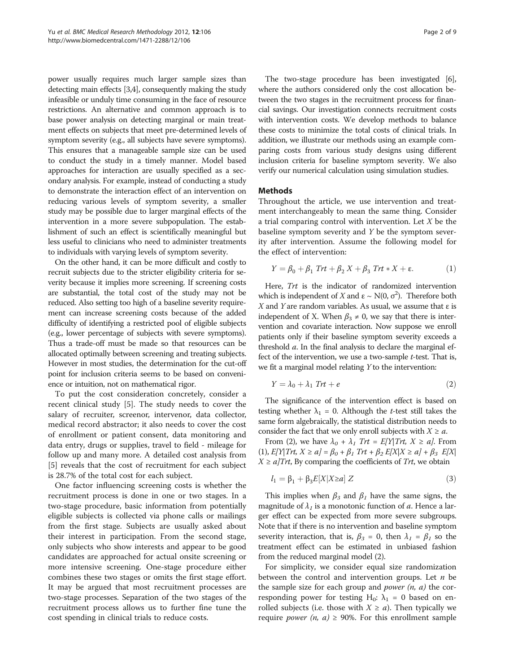<span id="page-1-0"></span>power usually requires much larger sample sizes than detecting main effects [[3,4](#page-7-0)], consequently making the study infeasible or unduly time consuming in the face of resource restrictions. An alternative and common approach is to base power analysis on detecting marginal or main treatment effects on subjects that meet pre-determined levels of symptom severity (e.g., all subjects have severe symptoms). This ensures that a manageable sample size can be used to conduct the study in a timely manner. Model based approaches for interaction are usually specified as a secondary analysis. For example, instead of conducting a study to demonstrate the interaction effect of an intervention on reducing various levels of symptom severity, a smaller study may be possible due to larger marginal effects of the intervention in a more severe subpopulation. The establishment of such an effect is scientifically meaningful but less useful to clinicians who need to administer treatments to individuals with varying levels of symptom severity.

On the other hand, it can be more difficult and costly to recruit subjects due to the stricter eligibility criteria for severity because it implies more screening. If screening costs are substantial, the total cost of the study may not be reduced. Also setting too high of a baseline severity requirement can increase screening costs because of the added difficulty of identifying a restricted pool of eligible subjects (e.g., lower percentage of subjects with severe symptoms). Thus a trade-off must be made so that resources can be allocated optimally between screening and treating subjects. However in most studies, the determination for the cut-off point for inclusion criteria seems to be based on convenience or intuition, not on mathematical rigor.

To put the cost consideration concretely, consider a recent clinical study [\[5](#page-7-0)]. The study needs to cover the salary of recruiter, screenor, intervenor, data collector, medical record abstractor; it also needs to cover the cost of enrollment or patient consent, data monitoring and data entry, drugs or supplies, travel to field - mileage for follow up and many more. A detailed cost analysis from [[5\]](#page-7-0) reveals that the cost of recruitment for each subject is 28.7% of the total cost for each subject.

One factor influencing screening costs is whether the recruitment process is done in one or two stages. In a two-stage procedure, basic information from potentially eligible subjects is collected via phone calls or mailings from the first stage. Subjects are usually asked about their interest in participation. From the second stage, only subjects who show interests and appear to be good candidates are approached for actual onsite screening or more intensive screening. One-stage procedure either combines these two stages or omits the first stage effort. It may be argued that most recruitment processes are two-stage processes. Separation of the two stages of the recruitment process allows us to further fine tune the cost spending in clinical trials to reduce costs.

The two-stage procedure has been investigated [[6](#page-8-0)], where the authors considered only the cost allocation between the two stages in the recruitment process for financial savings. Our investigation connects recruitment costs with intervention costs. We develop methods to balance these costs to minimize the total costs of clinical trials. In addition, we illustrate our methods using an example comparing costs from various study designs using different inclusion criteria for baseline symptom severity. We also verify our numerical calculation using simulation studies.

# **Methods**

Throughout the article, we use intervention and treatment interchangeably to mean the same thing. Consider a trial comparing control with intervention. Let X be the baseline symptom severity and Y be the symptom severity after intervention. Assume the following model for the effect of intervention:

$$
Y = \beta_0 + \beta_1 \operatorname{Tr} t + \beta_2 X + \beta_3 \operatorname{Tr} t \ast X + \varepsilon. \tag{1}
$$

Here, Trt is the indicator of randomized intervention which is independent of X and  $\varepsilon \sim N(0, \sigma^2)$ . Therefore both X and X are random variables. As usual, we assume that s is X and Y are random variables. As usual, we assume that  $\varepsilon$  is independent of X. When  $\beta_3 \neq 0$ , we say that there is intervention and covariate interaction. Now suppose we enroll patients only if their baseline symptom severity exceeds a threshold a. In the final analysis to declare the marginal effect of the intervention, we use a two-sample  $t$ -test. That is, we fit a marginal model relating Y to the intervention:

$$
Y = \lambda_0 + \lambda_1 \text{Tr}t + e \tag{2}
$$

The significance of the intervention effect is based on testing whether  $\lambda_1 = 0$ . Although the *t*-test still takes the same form algebraically, the statistical distribution needs to consider the fact that we only enroll subjects with  $X \ge a$ .

From (2), we have  $\lambda_0 + \lambda_1$  Trt = E[Y]Trt,  $X \ge a$ ]. From (1),  $E[Y]$ Trt,  $X \ge a$ ] =  $\beta_0 + \beta_1$  Trt +  $\beta_2 E[X|X \ge a] + \beta_3 E[X]$  $X \ge a/Trt$ , By comparing the coefficients of Trt, we obtain

$$
l_1 = \beta_1 + \beta_3 E[X|X \ge a] \, Z \tag{3}
$$

This implies when  $\beta_3$  and  $\beta_1$  have the same signs, the magnitude of  $\lambda_1$  is a monotonic function of a. Hence a larger effect can be expected from more severe subgroups. Note that if there is no intervention and baseline symptom severity interaction, that is,  $\beta_3 = 0$ , then  $\lambda_1 = \beta_1$  so the treatment effect can be estimated in unbiased fashion from the reduced marginal model (2).

For simplicity, we consider equal size randomization between the control and intervention groups. Let  $n$  be the sample size for each group and *power*  $(n, a)$  the corresponding power for testing H<sub>0</sub>:  $\lambda_1 = 0$  based on enrolled subjects (i.e. those with  $X \ge a$ ). Then typically we require *power*  $(n, a) \ge 90\%$ . For this enrollment sample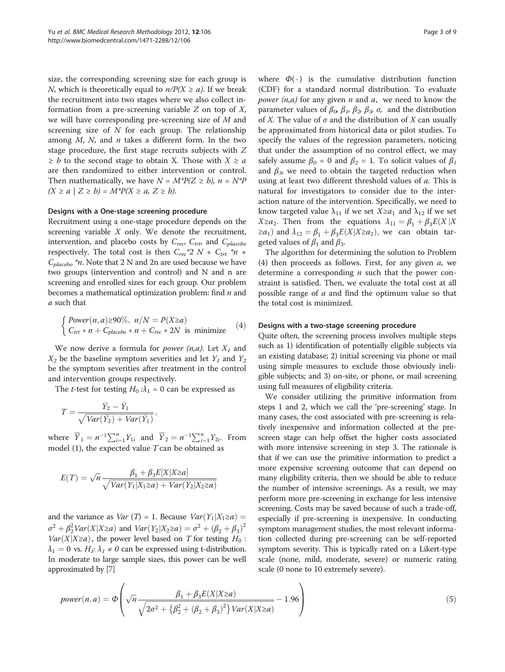<span id="page-2-0"></span>size, the corresponding screening size for each group is N, which is theoretically equal to  $n/P(X \ge a)$ . If we break the recruitment into two stages where we also collect information from a pre-screening variable  $Z$  on top of  $X$ , we will have corresponding pre-screening size of M and screening size of  $N$  for each group. The relationship among  $M$ ,  $N$ , and  $n$  takes a different form. In the two stage procedure, the first stage recruits subjects with Z  $\geq b$  to the second stage to obtain X. Those with  $X \geq a$ are then randomized to either intervention or control. Then mathematically, we have  $N = M^*P(Z \ge b)$ ,  $n = N^*P$  $(X \ge a \mid Z \ge b) = M^*P(X \ge a, Z \ge b).$ 

### Designs with a One-stage screening procedure

Recruitment using a one-stage procedure depends on the screening variable  $X$  only. We denote the recruitment, intervention, and placebo costs by  $C_{rec}$ ,  $C_{trt}$ , and  $C_{placebo}$ respectively. The total cost is then  $C_{rec}^*2 N + C_{trt}^* n +$  $C_{placebo}$  \*n. Note that 2 N and 2n are used because we have two groups (intervention and control) and N and n are screening and enrolled sizes for each group. Our problem becomes a mathematical optimization problem: find  $n$  and a such that

$$
\begin{cases}\nPower(n, a) \geq 90\%, \; n/N = P(X \geq a) \\
C_{\text{trt}} * n + C_{\text{placebo}} * n + C_{\text{rec}} * 2N \text{ is minimize}\n\end{cases} \tag{4}
$$

We now derive a formula for *power*  $(n, a)$ . Let  $X_1$  and  $X_2$  be the baseline symptom severities and let  $Y_1$  and  $Y_2$ be the symptom severities after treatment in the control and intervention groups respectively.

The *t*-test for testing  $H_0 : \lambda_1 = 0$  can be expressed as

$$
T = \frac{\bar{Y}_2 - \bar{Y}_1}{\sqrt{Var(\bar{Y}_2) + Var(\bar{Y}_1)}},
$$

where  $\overline{Y}_1 = n^{-1} \sum_{i=1}^n Y_{1i}$  and  $\overline{Y}_2 = n^{-1} \sum_{i=1}^n Y_{2i}$ . From model [\(1](#page-1-0)), the expected value  $T$  can be obtained as

$$
E(T) = \sqrt{n} \frac{\beta_1 + \beta_3 E[X|X \ge a]}{\sqrt{Var(Y_1|X_1 \ge a) + Var(Y_2|X_2 \ge a)}}
$$

and the variance as  $Var(T) = 1$ . Because  $Var(Y_1|X_1 \ge a) =$  $\sigma^2 + \beta_2^2 Var(X|X \ge a)$  and  $Var(Y_2|X_2 \ge a) = \sigma^2 + (\beta_2 + \beta_3)^2$ <br>Var(X|X>a), the power level based on T for testing H,  $Var(X|X \ge a)$ , the power level based on T for testing  $H_0$ :  $\lambda_1 = 0$  vs.  $H_1$ :  $\lambda_1 \neq 0$  can be expressed using t-distribution. In moderate to large sample sizes, this power can be well approximated by [\[7\]](#page-8-0)

where  $\Phi(\cdot)$  is the cumulative distribution function (CDF) for a standard normal distribution. To evaluate power  $(n,a)$  for any given *n* and *a*, we need to know the parameter values of  $β<sub>0</sub>, β<sub>1</sub>, β<sub>2</sub>, β<sub>3</sub>, σ$ , and the distribution of X. The value of  $\sigma$  and the distribution of X can usually be approximated from historical data or pilot studies. To specify the values of the regression parameters, noticing that under the assumption of no control effect, we may safely assume  $\beta_0 = 0$  and  $\beta_2 = 1$ . To solicit values of  $\beta_1$ and  $\beta_3$ , we need to obtain the targeted reduction when using at least two different threshold values of a. This is natural for investigators to consider due to the interaction nature of the intervention. Specifically, we need to know targeted value  $\lambda_{11}$  if we set  $X \ge a_1$  and  $\lambda_{12}$  if we set  $X \ge a_2$ . Then from the equations  $\lambda_{11} = \beta_1 + \beta_3 E(X|X)$  $\geq a_1$ ) and  $\lambda_{12} = \beta_1 + \beta_3 E(X|X \geq a_2)$ , we can obtain targeted values of  $\beta_1$  and  $\beta_3$ .

The algorithm for determining the solution to Problem (4) then proceeds as follows. First, for any given  $a$ , we determine a corresponding  $n$  such that the power constraint is satisfied. Then, we evaluate the total cost at all possible range of a and find the optimum value so that the total cost is minimized.

#### Designs with a two-stage screening procedure

Quite often, the screening process involves multiple steps such as 1) identification of potentially eligible subjects via an existing database; 2) initial screening via phone or mail using simple measures to exclude those obviously ineligible subjects; and 3) on-site, or phone, or mail screening using full measures of eligibility criteria.

We consider utilizing the primitive information from steps 1 and 2, which we call the 'pre-screening' stage. In many cases, the cost associated with pre-screening is relatively inexpensive and information collected at the prescreen stage can help offset the higher costs associated with more intensive screening in step 3. The rationale is that if we can use the primitive information to predict a more expensive screening outcome that can depend on many eligibility criteria, then we should be able to reduce the number of intensive screenings. As a result, we may perform more pre-screening in exchange for less intensive screening. Costs may be saved because of such a trade-off, especially if pre-screening is inexpensive. In conducting symptom management studies, the most relevant information collected during pre-screening can be self-reported symptom severity. This is typically rated on a Likert-type scale (none, mild, moderate, severe) or numeric rating scale (0 none to 10 extremely severe).

$$
power(n, a) = \Phi\left(\sqrt{n} \frac{\beta_1 + \beta_3 E(X|X \ge a)}{\sqrt{2\sigma^2 + \{\beta_2^2 + (\beta_2 + \beta_3)^2\}Var(X|X \ge a)}} - 1.96\right)
$$
\n(5)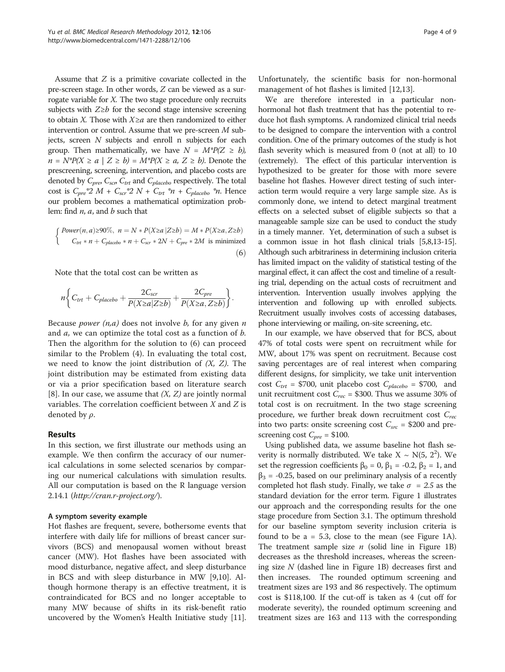Assume that Z is a primitive covariate collected in the pre-screen stage. In other words, Z can be viewed as a surrogate variable for X. The two stage procedure only recruits subjects with  $Z \ge b$  for the second stage intensive screening to obtain X. Those with  $X \ge a$  are then randomized to either intervention or control. Assume that we pre-screen M subjects, screen N subjects and enroll n subjects for each group. Then mathematically, we have  $N = M^*P(Z \ge b)$ ,  $n = N^*P(X \ge a \mid Z \ge b) = M^*P(X \ge a, Z \ge b)$ . Denote the prescreening, screening, intervention, and placebo costs are denoted by  $C_{pre}$ ,  $C_{scr}$ ,  $C_{trt}$  and  $C_{placebo}$  respectively. The total cost is  $C_{pre}^* 2 M + C_{scr}^* 2 N + C_{trt}^* n + C_{placebo}^* n$ . Hence our problem becomes a mathematical optimization problem: find  $n$ ,  $a$ , and  $b$  such that

 $Power(n, a) \ge 90\%$ ,  $n = N * P(X \ge a | Z \ge b) = M * P(X \ge a, Z \ge b)$  $\begin{cases} Power(n, a) \ge 90\%, & n = N * P(X \ge a \mid Z \ge b) = M * P(X \ge a, Z \ge b) \\ C_{trt} * n + C_{placebo} * n + C_{scr} * 2N + C_{pre} * 2M \text{ is minimized} \end{cases}$  $(6)$ 

Note that the total cost can be written as

$$
n\bigg\{C_{trt}+C_{placebo}+\frac{2C_{scr}}{P(X\geq a|Z\geq b)}+\frac{2C_{pre}}{P(X\geq a,Z\geq b)}\bigg\}.
$$

Because *power*  $(n, a)$  does not involve *b*, for any given *n* and a, we can optimize the total cost as a function of b. Then the algorithm for the solution to (6) can proceed similar to the Problem ([4\)](#page-2-0). In evaluating the total cost, we need to know the joint distribution of  $(X, Z)$ . The joint distribution may be estimated from existing data or via a prior specification based on literature search [[8\]](#page-8-0). In our case, we assume that  $(X, Z)$  are jointly normal variables. The correlation coefficient between  $X$  and  $Z$  is denoted by  $\rho$ .

# Results

In this section, we first illustrate our methods using an example. We then confirm the accuracy of our numerical calculations in some selected scenarios by comparing our numerical calculations with simulation results. All our computation is based on the R language version 2.14.1 (<http://cran.r-project.org/>).

#### A symptom severity example

Hot flashes are frequent, severe, bothersome events that interfere with daily life for millions of breast cancer survivors (BCS) and menopausal women without breast cancer (MW). Hot flashes have been associated with mood disturbance, negative affect, and sleep disturbance in BCS and with sleep disturbance in MW [[9,10](#page-8-0)]. Although hormone therapy is an effective treatment, it is contraindicated for BCS and no longer acceptable to many MW because of shifts in its risk-benefit ratio uncovered by the Women's Health Initiative study [\[11](#page-8-0)]. Unfortunately, the scientific basis for non-hormonal management of hot flashes is limited [\[12,13\]](#page-8-0).

We are therefore interested in a particular nonhormonal hot flash treatment that has the potential to reduce hot flash symptoms. A randomized clinical trial needs to be designed to compare the intervention with a control condition. One of the primary outcomes of the study is hot flash severity which is measured from 0 (not at all) to 10 (extremely). The effect of this particular intervention is hypothesized to be greater for those with more severe baseline hot flashes. However direct testing of such interaction term would require a very large sample size. As is commonly done, we intend to detect marginal treatment effects on a selected subset of eligible subjects so that a manageable sample size can be used to conduct the study in a timely manner. Yet, determination of such a subset is a common issue in hot flash clinical trials [\[5](#page-7-0)[,8,13-15](#page-8-0)]. Although such arbitrariness in determining inclusion criteria has limited impact on the validity of statistical testing of the marginal effect, it can affect the cost and timeline of a resulting trial, depending on the actual costs of recruitment and intervention. Intervention usually involves applying the intervention and following up with enrolled subjects. Recruitment usually involves costs of accessing databases, phone interviewing or mailing, on-site screening, etc.

In our example, we have observed that for BCS, about 47% of total costs were spent on recruitment while for MW, about 17% was spent on recruitment. Because cost saving percentages are of real interest when comparing different designs, for simplicity, we take unit intervention cost  $C_{trt}$  = \$700, unit placebo cost  $C_{placebo}$  = \$700, and unit recruitment cost  $C_{rec}$  = \$300. Thus we assume 30% of total cost is on recruitment. In the two stage screening procedure, we further break down recruitment cost  $C_{rec}$ into two parts: onsite screening cost  $C_{src}$  = \$200 and prescreening cost  $C_{pre}$  = \$100.

Using published data, we assume baseline hot flash severity is normally distributed. We take  $X \sim N(5, 2^2)$ . We set the regression coefficients  $\beta_0 = 0$ ,  $\beta_1 = -0.2$ ,  $\beta_2 = 1$ , and  $\beta_3$  = -0.25, based on our preliminary analysis of a recently completed hot flash study. Finally, we take  $\sigma = 2.5$  as the standard deviation for the error term. Figure [1](#page-4-0) illustrates our approach and the corresponding results for the one stage procedure from Section 3.1. The optimum threshold for our baseline symptom severity inclusion criteria is found to be  $a = 5.3$ , close to the mean (see Figure [1A](#page-4-0)). The treatment sample size  $n$  (solid line in Figure [1B](#page-4-0)) decreases as the threshold increases, whereas the screening size  $N$  (dashed line in Figure [1B](#page-4-0)) decreases first and then increases. The rounded optimum screening and treatment sizes are 193 and 86 respectively. The optimum cost is \$118,100. If the cut-off is taken as 4 (cut off for moderate severity), the rounded optimum screening and treatment sizes are 163 and 113 with the corresponding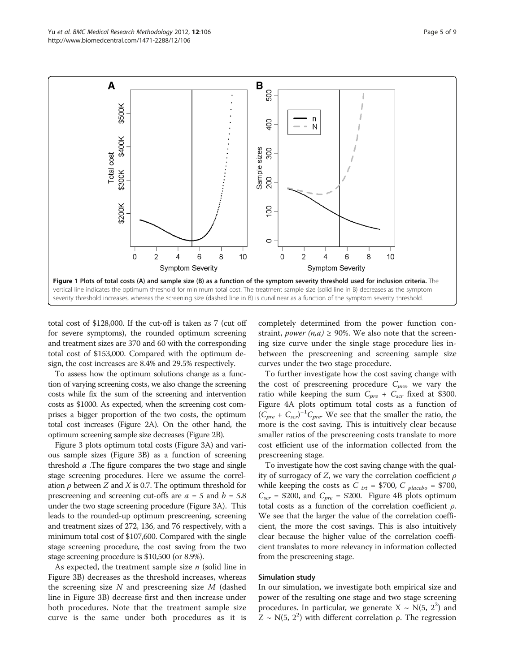<span id="page-4-0"></span>

total cost of \$128,000. If the cut-off is taken as 7 (cut off for severe symptoms), the rounded optimum screening and treatment sizes are 370 and 60 with the corresponding total cost of \$153,000. Compared with the optimum design, the cost increases are 8.4% and 29.5% respectively.

To assess how the optimum solutions change as a function of varying screening costs, we also change the screening costs while fix the sum of the screening and intervention costs as \$1000. As expected, when the screening cost comprises a bigger proportion of the two costs, the optimum total cost increases (Figure [2A](#page-5-0)). On the other hand, the optimum screening sample size decreases (Figure [2](#page-5-0)B).

Figure [3](#page-5-0) plots optimum total costs (Figure [3A](#page-5-0)) and various sample sizes (Figure [3B](#page-5-0)) as a function of screening threshold  $a$ . The figure compares the two stage and single stage screening procedures. Here we assume the correlation  $\rho$  between Z and X is 0.7. The optimum threshold for prescreening and screening cut-offs are  $a=5$  and  $b=5.8$ under the two stage screening procedure (Figure [3A](#page-5-0)). This leads to the rounded-up optimum prescreening, screening and treatment sizes of 272, 136, and 76 respectively, with a minimum total cost of \$107,600. Compared with the single stage screening procedure, the cost saving from the two stage screening procedure is \$10,500 (or 8.9%).

As expected, the treatment sample size  $n$  (solid line in Figure [3B](#page-5-0)) decreases as the threshold increases, whereas the screening size  $N$  and prescreening size  $M$  (dashed line in Figure [3](#page-5-0)B) decrease first and then increase under both procedures. Note that the treatment sample size curve is the same under both procedures as it is

completely determined from the power function constraint, *power*  $(n,a) \ge 90\%$ . We also note that the screening size curve under the single stage procedure lies inbetween the prescreening and screening sample size curves under the two stage procedure.

To further investigate how the cost saving change with the cost of prescreening procedure  $C_{pre}$ , we vary the ratio while keeping the sum  $C_{pre} + C_{scr}$  fixed at \$300. Figure [4](#page-6-0)A plots optimum total costs as a function of  $(\overline{C}_{pre} + C_{scr})^{-1}C_{pre}$ . We see that the smaller the ratio, the more is the cost saying. This is intuitively clear because more is the cost saving. This is intuitively clear because smaller ratios of the prescreening costs translate to more cost efficient use of the information collected from the prescreening stage.

To investigate how the cost saving change with the quality of surrogacy of Z, we vary the correlation coefficient  $\rho$ while keeping the costs as  $C_{trt} = $700, C_{placebo} = $700,$  $C_{scr}$  = \$200, and  $C_{pre}$  = \$200. Figure [4B](#page-6-0) plots optimum total costs as a function of the correlation coefficient  $\rho$ . We see that the larger the value of the correlation coefficient, the more the cost savings. This is also intuitively clear because the higher value of the correlation coefficient translates to more relevancy in information collected from the prescreening stage.

### Simulation study

In our simulation, we investigate both empirical size and power of the resulting one stage and two stage screening procedures. In particular, we generate  $X \sim N(5, 2^2)$  and  $Z \sim N(5, 2^2)$  with different correlation ρ. The regression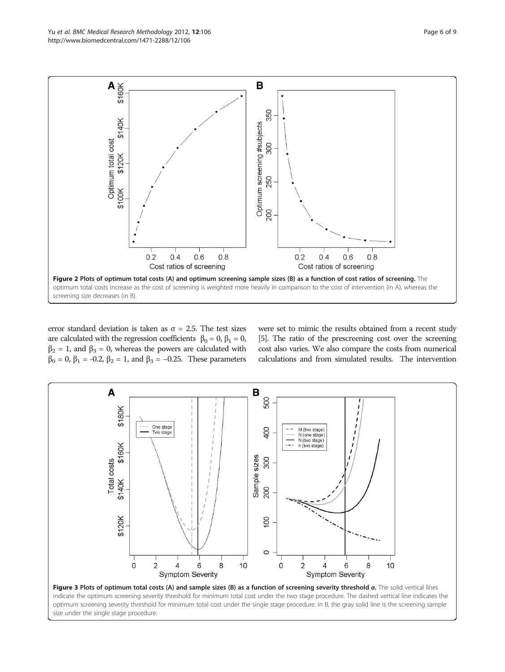<span id="page-5-0"></span>

error standard deviation is taken as  $\sigma = 2.5$ . The test sizes are calculated with the regression coefficients  $β_0 = 0, β_1 = 0,$  $β<sub>2</sub> = 1$ , and  $β<sub>3</sub> = 0$ , whereas the powers are calculated with  $β<sub>0</sub> = 0, β<sub>1</sub> = -0.2, β<sub>2</sub> = 1, and β<sub>3</sub> = -0.25. These parameters$ 

were set to mimic the results obtained from a recent study [[5](#page-7-0)]. The ratio of the prescreening cost over the screening cost also varies. We also compare the costs from numerical calculations and from simulated results. The intervention

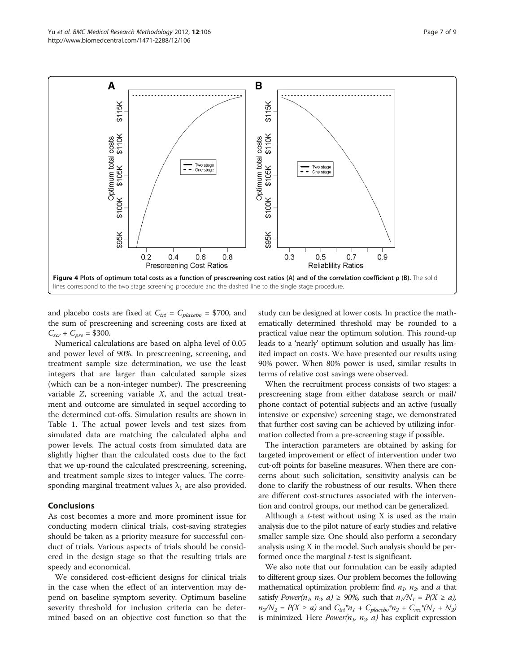<span id="page-6-0"></span>

and placebo costs are fixed at  $C_{trt} = C_{placebo} = $700$ , and the sum of prescreening and screening costs are fixed at  $C_{scr} + C_{pre} = $300.$ 

Numerical calculations are based on alpha level of 0.05 and power level of 90%. In prescreening, screening, and treatment sample size determination, we use the least integers that are larger than calculated sample sizes (which can be a non-integer number). The prescreening variable  $Z$ , screening variable  $X$ , and the actual treatment and outcome are simulated in sequel according to the determined cut-offs. Simulation results are shown in Table [1](#page-7-0). The actual power levels and test sizes from simulated data are matching the calculated alpha and power levels. The actual costs from simulated data are slightly higher than the calculated costs due to the fact that we up-round the calculated prescreening, screening, and treatment sample sizes to integer values. The corresponding marginal treatment values  $\lambda_1$  are also provided.

# Conclusions

As cost becomes a more and more prominent issue for conducting modern clinical trials, cost-saving strategies should be taken as a priority measure for successful conduct of trials. Various aspects of trials should be considered in the design stage so that the resulting trials are speedy and economical.

We considered cost-efficient designs for clinical trials in the case when the effect of an intervention may depend on baseline symptom severity. Optimum baseline severity threshold for inclusion criteria can be determined based on an objective cost function so that the

study can be designed at lower costs. In practice the mathematically determined threshold may be rounded to a practical value near the optimum solution. This round-up leads to a 'nearly' optimum solution and usually has limited impact on costs. We have presented our results using 90% power. When 80% power is used, similar results in terms of relative cost savings were observed.

When the recruitment process consists of two stages: a prescreening stage from either database search or mail/ phone contact of potential subjects and an active (usually intensive or expensive) screening stage, we demonstrated that further cost saving can be achieved by utilizing information collected from a pre-screening stage if possible.

The interaction parameters are obtained by asking for targeted improvement or effect of intervention under two cut-off points for baseline measures. When there are concerns about such solicitation, sensitivity analysis can be done to clarify the robustness of our results. When there are different cost-structures associated with the intervention and control groups, our method can be generalized.

Although a  $t$ -test without using X is used as the main analysis due to the pilot nature of early studies and relative smaller sample size. One should also perform a secondary analysis using X in the model. Such analysis should be performed once the marginal  $t$ -test is significant.

We also note that our formulation can be easily adapted to different group sizes. Our problem becomes the following mathematical optimization problem: find  $n<sub>1</sub>$ ,  $n<sub>2</sub>$  and a that satisfy *Power*( $n_1$ ,  $n_2$ ,  $a$ )  $\geq$  90%, such that  $n_1/N_1 = P(X \geq a)$ ,  $n_2/N_2 = P(X \ge a)$  and  $C_{tr}^* n_1 + C_{placebo}^* n_2 + C_{rec}^* (N_1 + N_2)$ is minimized. Here *Power*( $n<sub>1</sub>$ ,  $n<sub>2</sub>$ , *a*) has explicit expression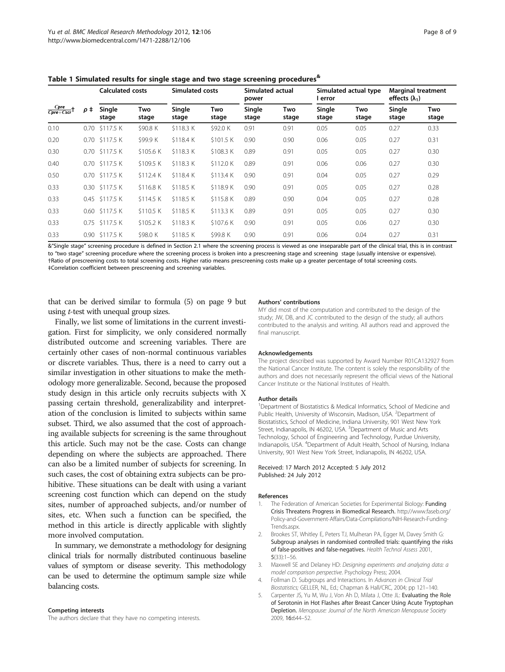| Cpre<br>$C$ pre $+C$ scr | ρ‡   | <b>Calculated costs</b> |              | Simulated costs |              | Simulated actual<br>power |              | Simulated actual type<br>error |              | <b>Marginal treatment</b><br>effects $(\lambda_1)$ |              |
|--------------------------|------|-------------------------|--------------|-----------------|--------------|---------------------------|--------------|--------------------------------|--------------|----------------------------------------------------|--------------|
|                          |      | Single<br>stage         | Two<br>stage | Single<br>stage | Two<br>stage | Single<br>stage           | Two<br>stage | Single<br>stage                | Two<br>stage | Single<br>stage                                    | Two<br>stage |
| 0.10                     | 0.70 | \$117.5 K               | \$90.8K      | \$118.3 K       | \$92.0K      | 0.91                      | 0.91         | 0.05                           | 0.05         | 0.27                                               | 0.33         |
| 0.20                     | 0.70 | \$117.5 K               | \$99.9K      | \$118.4 K       | \$101.5 K    | 0.90                      | 0.90         | 0.06                           | 0.05         | 0.27                                               | 0.31         |
| 0.30                     | 0.70 | \$117.5 K               | \$105.6 K    | \$118.3 K       | \$108.3 K    | 0.89                      | 0.91         | 0.05                           | 0.05         | 0.27                                               | 0.30         |
| 0.40                     | 0.70 | \$117.5 K               | \$109.5 K    | \$118.3 K       | \$112.0 K    | 0.89                      | 0.91         | 0.06                           | 0.06         | 0.27                                               | 0.30         |
| 0.50                     | 0.70 | \$117.5 K               | \$112.4 K    | \$118.4 K       | \$113.4 K    | 0.90                      | 0.91         | 0.04                           | 0.05         | 0.27                                               | 0.29         |
| 0.33                     |      | 0.30 \$117.5 K          | \$116.8 K    | \$118.5 K       | \$118.9 K    | 0.90                      | 0.91         | 0.05                           | 0.05         | 0.27                                               | 0.28         |
| 0.33                     |      | 0.45 \$117.5 K          | \$114.5 K    | \$118.5 K       | \$115.8 K    | 0.89                      | 0.90         | 0.04                           | 0.05         | 0.27                                               | 0.28         |
| 0.33                     |      | 0.60 \$117.5 K          | \$110.5 K    | \$118.5 K       | \$113.3 K    | 0.89                      | 0.91         | 0.05                           | 0.05         | 0.27                                               | 0.30         |
| 0.33                     |      | 0.75 \$117.5 K          | \$105.2 K    | \$118.3 K       | \$107.6 K    | 0.90                      | 0.91         | 0.05                           | 0.06         | 0.27                                               | 0.30         |
| 0.33                     | 0.90 | \$117.5 K               | \$98.0K      | \$118.5 K       | \$99.8K      | 0.90                      | 0.91         | 0.06                           | 0.04         | 0.27                                               | 0.31         |

<span id="page-7-0"></span>Table 1 Simulated results for single stage and two stage screening procedures<sup>&</sup>

&"Single stage" screening procedure is defined in Section 2.1 where the screening process is viewed as one inseparable part of the clinical trial, this is in contrast to "two stage" screening procedure where the screening process is broken into a prescreening stage and screening stage (usually intensive or expensive). †Ratio of prescreening costs to total screening costs. Higher ratio means prescreening costs make up a greater percentage of total screening costs. ‡Correlation coefficient between prescreening and screening variables.

that can be derived similar to formula (5) on page 9 but using t-test with unequal group sizes.

Finally, we list some of limitations in the current investigation. First for simplicity, we only considered normally distributed outcome and screening variables. There are certainly other cases of non-normal continuous variables or discrete variables. Thus, there is a need to carry out a similar investigation in other situations to make the methodology more generalizable. Second, because the proposed study design in this article only recruits subjects with X passing certain threshold, generalizability and interpretation of the conclusion is limited to subjects within same subset. Third, we also assumed that the cost of approaching available subjects for screening is the same throughout this article. Such may not be the case. Costs can change depending on where the subjects are approached. There can also be a limited number of subjects for screening. In such cases, the cost of obtaining extra subjects can be prohibitive. These situations can be dealt with using a variant screening cost function which can depend on the study sites, number of approached subjects, and/or number of sites, etc. When such a function can be specified, the method in this article is directly applicable with slightly more involved computation.

In summary, we demonstrate a methodology for designing clinical trials for normally distributed continuous baseline values of symptom or disease severity. This methodology can be used to determine the optimum sample size while balancing costs.

#### Competing interests

The authors declare that they have no competing interests.

#### Authors' contributions

MY did most of the computation and contributed to the design of the study; JW, DB, and JC contributed to the design of the study; all authors contributed to the analysis and writing. All authors read and approved the final manuscript.

#### Acknowledgements

The project described was supported by Award Number R01CA132927 from the National Cancer Institute. The content is solely the responsibility of the authors and does not necessarily represent the official views of the National Cancer Institute or the National Institutes of Health.

#### Author details

<sup>1</sup>Department of Biostatistics & Medical Informatics, School of Medicine and Public Health, University of Wisconsin, Madison, USA. <sup>2</sup>Department of Biostatistics, School of Medicine, Indiana University, 901 West New York Street, Indianapolis, IN 46202, USA. <sup>3</sup>Department of Music and Arts Technology, School of Engineering and Technology, Purdue University, Indianapolis, USA. <sup>4</sup>Department of Adult Health, School of Nursing, Indiana University, 901 West New York Street, Indianapolis, IN 46202, USA.

#### Received: 17 March 2012 Accepted: 5 July 2012 Published: 24 July 2012

#### References

- 1. The Federation of American Societies for Experimental Biology: Funding Crisis Threatens Progress in Biomedical Research. [http://www.faseb.org/](http://www.faseb.org/Policy-and-Government-Affairs/Data-Compilations/NIH-Research-Funding-Trends.aspx) [Policy-and-Government-Affairs/Data-Compilations/NIH-Research-Funding-](http://www.faseb.org/Policy-and-Government-Affairs/Data-Compilations/NIH-Research-Funding-Trends.aspx)[Trends.aspx.](http://www.faseb.org/Policy-and-Government-Affairs/Data-Compilations/NIH-Research-Funding-Trends.aspx)
- 2. Brookes ST, Whitley E, Peters TJ, Mulheran PA, Egger M, Davey Smith G: Subgroup analyses in randomised controlled trials: quantifying the risks of false-positives and false-negatives. Health Technol Assess 2001, 5(33):1–56.
- 3. Maxwell SE and Delaney HD: Designing experiments and analyzing data: a model comparison perspective. Psychology Press; 2004.
- 4. Follman D. Subgroups and Interactions. In Advances in Clinical Trial Biostatistics; GELLER, NL, Ed.; Chapman & Hall/CRC, 2004; pp 121–140.
- 5. Carpenter JS, Yu M, Wu J, Von Ah D, Milata J, Otte JL: Evaluating the Role of Serotonin in Hot Flashes after Breast Cancer Using Acute Tryptophan Depletion. Menopause: Journal of the North American Menopause Society 2009, 16:644–52.